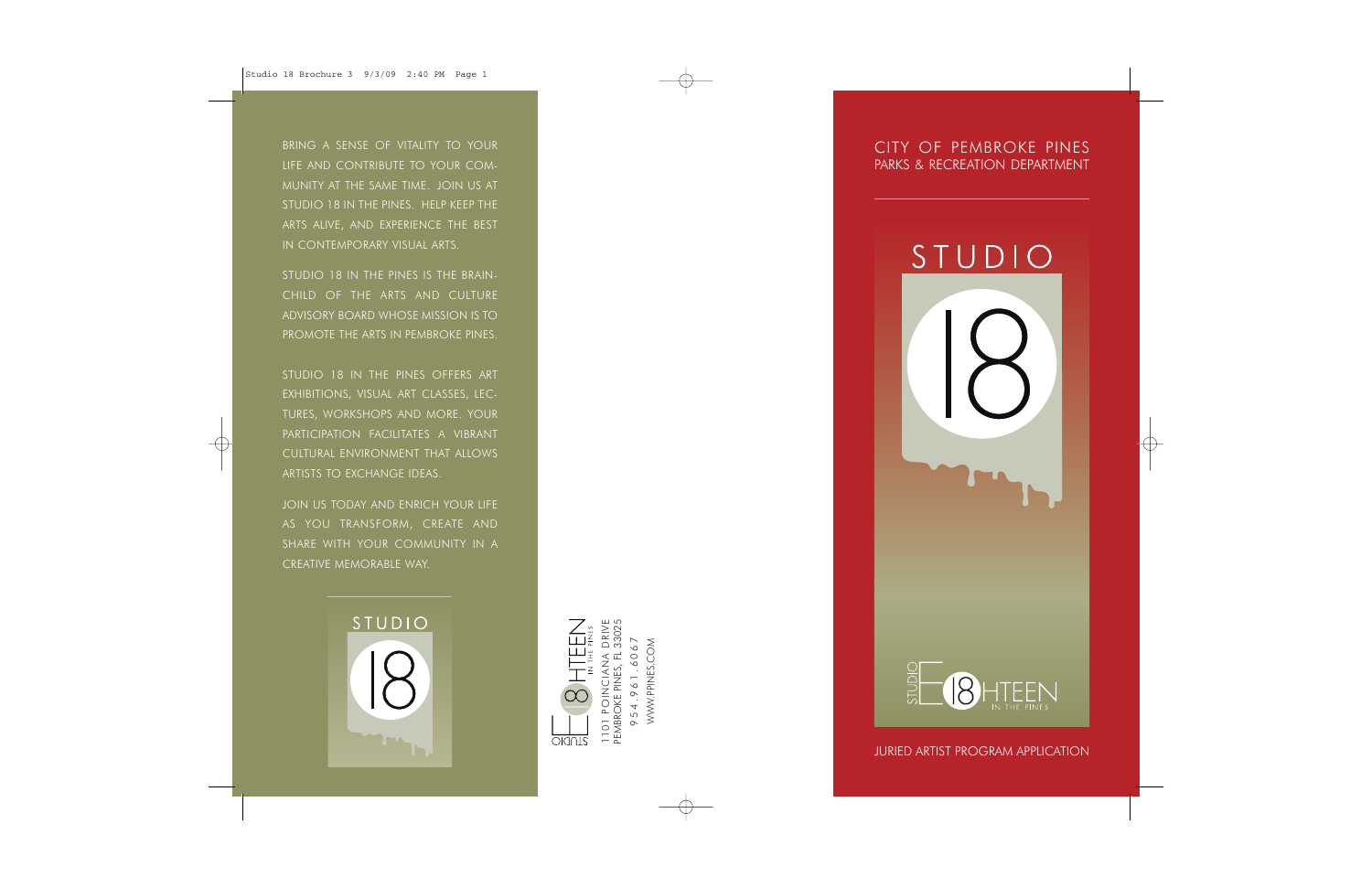BRING A SENSE OF VITALITY TO YOUR LIFE AND CONTRIBUTE TO YOUR COM-MUNITY AT THE SAME TIME. JOIN US AT STUDIO 18 IN THE PINES. HELP KEEP THE ARTS ALIVE, AND EXPERIENCE THE BEST IN CONTEMPORARY VISUAL ARTS.

STUDIO 18 IN THE PINES IS THE BRAIN-CHILD OF THE ARTS AND CULTUREADVISORY BOARD WHOSE MISSION IS TOPROMOTE THE ARTS IN PEMBROKE PINES.

STUDIO 18 IN THE PINES OFFERS ART EXHIBITIONS, VISUAL ART CLASSES, LEC-TURES, WORKSHOPS AND MORE. YOUR PARTICIPATION FACILITATES A VIBRANTCULTURAL ENVIRONMENT THAT ALLOWS ARTISTS TO EXCHANGE IDEAS.

JOIN US TODAY AND ENRICH YOUR LIFE AS YOU TRANSFORM, CREATE AND SHARE WITH YOUR COMMUNITY IN A CREATIVE MEMORABLE WAY.





WWW.PPINES.COM

WWW.PPINES.COM

CITY OF PEMBROKE PINESPARKS & RECREATION DEPARTMENT

## STUDIO



JURIED ARTIST PROGRAM APPLICATION